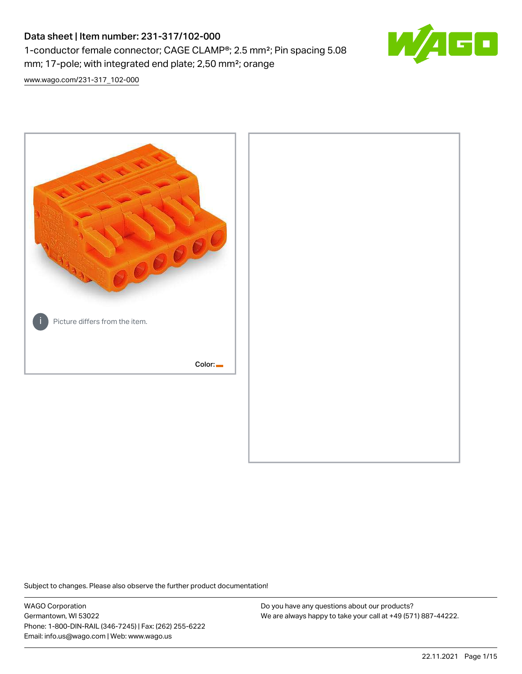# Data sheet | Item number: 231-317/102-000 1-conductor female connector; CAGE CLAMP®; 2.5 mm²; Pin spacing 5.08 mm; 17-pole; with integrated end plate; 2,50 mm²; orange



[www.wago.com/231-317\\_102-000](http://www.wago.com/231-317_102-000)



Subject to changes. Please also observe the further product documentation!

WAGO Corporation Germantown, WI 53022 Phone: 1-800-DIN-RAIL (346-7245) | Fax: (262) 255-6222 Email: info.us@wago.com | Web: www.wago.us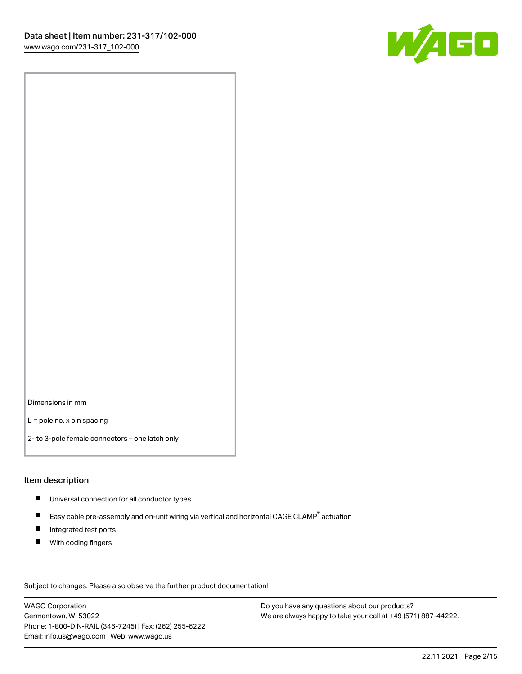

Dimensions in mm

L = pole no. x pin spacing

2- to 3-pole female connectors – one latch only

#### Item description

- **Universal connection for all conductor types**
- Easy cable pre-assembly and on-unit wiring via vertical and horizontal CAGE CLAMP<sup>®</sup> actuation  $\blacksquare$
- $\blacksquare$ Integrated test ports
- $\blacksquare$ With coding fingers

Subject to changes. Please also observe the further product documentation! Data

WAGO Corporation Germantown, WI 53022 Phone: 1-800-DIN-RAIL (346-7245) | Fax: (262) 255-6222 Email: info.us@wago.com | Web: www.wago.us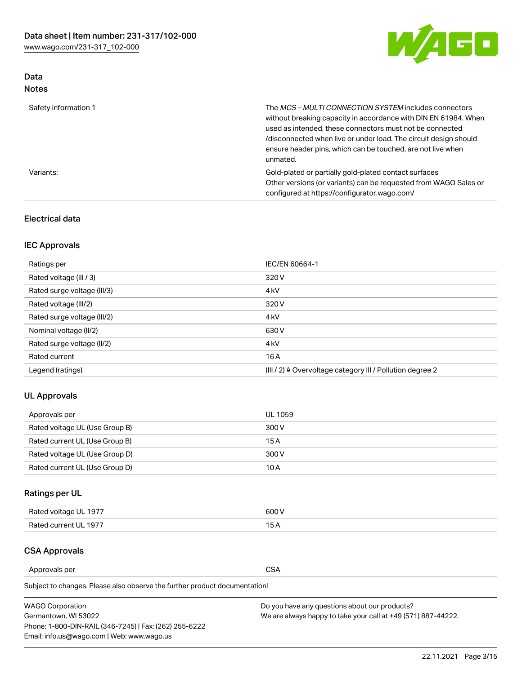

## Data Notes

| Safety information 1 | The <i>MCS – MULTI CONNECTION SYSTEM</i> includes connectors<br>without breaking capacity in accordance with DIN EN 61984. When<br>used as intended, these connectors must not be connected<br>/disconnected when live or under load. The circuit design should<br>ensure header pins, which can be touched, are not live when<br>unmated. |
|----------------------|--------------------------------------------------------------------------------------------------------------------------------------------------------------------------------------------------------------------------------------------------------------------------------------------------------------------------------------------|
| Variants:            | Gold-plated or partially gold-plated contact surfaces<br>Other versions (or variants) can be requested from WAGO Sales or<br>configured at https://configurator.wago.com/                                                                                                                                                                  |

## Electrical data

## IEC Approvals

| Ratings per                 | IEC/EN 60664-1                                                        |
|-----------------------------|-----------------------------------------------------------------------|
| Rated voltage (III / 3)     | 320 V                                                                 |
| Rated surge voltage (III/3) | 4 <sub>k</sub> V                                                      |
| Rated voltage (III/2)       | 320 V                                                                 |
| Rated surge voltage (III/2) | 4 <sub>k</sub> V                                                      |
| Nominal voltage (II/2)      | 630 V                                                                 |
| Rated surge voltage (II/2)  | 4 <sub>k</sub> V                                                      |
| Rated current               | 16A                                                                   |
| Legend (ratings)            | $(III / 2)$ $\triangle$ Overvoltage category III / Pollution degree 2 |

## UL Approvals

| Approvals per                  | UL 1059 |
|--------------------------------|---------|
| Rated voltage UL (Use Group B) | 300 V   |
| Rated current UL (Use Group B) | 15 A    |
| Rated voltage UL (Use Group D) | 300 V   |
| Rated current UL (Use Group D) | 10 A    |

## Ratings per UL

| Rated voltage UL 1977 | 600 V         |
|-----------------------|---------------|
| Rated current UL 1977 | $\sim$ $\sim$ |

## CSA Approvals

Approvals per CSA

Subject to changes. Please also observe the further product documentation!

| <b>WAGO Corporation</b>                                | Do you have any questions about our products?                 |
|--------------------------------------------------------|---------------------------------------------------------------|
| Germantown, WI 53022                                   | We are always happy to take your call at +49 (571) 887-44222. |
| Phone: 1-800-DIN-RAIL (346-7245)   Fax: (262) 255-6222 |                                                               |
| Email: info.us@wago.com   Web: www.wago.us             |                                                               |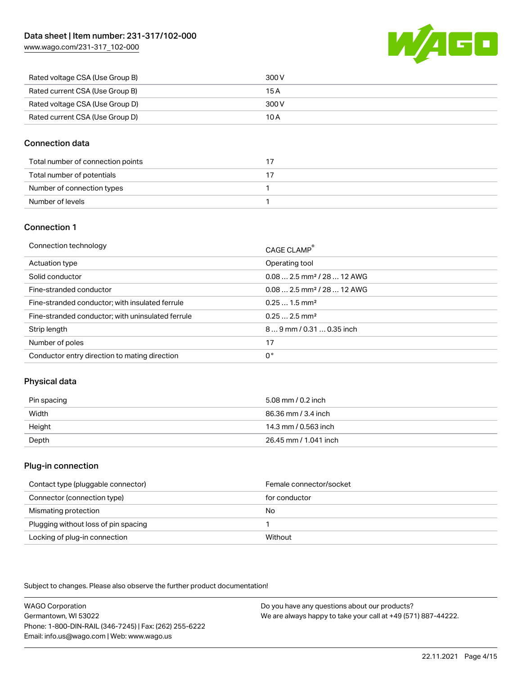[www.wago.com/231-317\\_102-000](http://www.wago.com/231-317_102-000)



| Rated voltage CSA (Use Group B) | 300 V |
|---------------------------------|-------|
| Rated current CSA (Use Group B) | 15 A  |
| Rated voltage CSA (Use Group D) | 300 V |
| Rated current CSA (Use Group D) | 10 A  |

## Connection data

| Total number of connection points |  |
|-----------------------------------|--|
| Total number of potentials        |  |
| Number of connection types        |  |
| Number of levels                  |  |

### Connection 1

| Connection technology                             | CAGE CLAMP®                             |
|---------------------------------------------------|-----------------------------------------|
| Actuation type                                    | Operating tool                          |
| Solid conductor                                   | $0.08$ 2.5 mm <sup>2</sup> / 28  12 AWG |
| Fine-stranded conductor                           | $0.082.5$ mm <sup>2</sup> / 28  12 AWG  |
| Fine-stranded conductor; with insulated ferrule   | $0.251.5$ mm <sup>2</sup>               |
| Fine-stranded conductor; with uninsulated ferrule | $0.252.5$ mm <sup>2</sup>               |
| Strip length                                      | $89$ mm / 0.31  0.35 inch               |
| Number of poles                                   | 17                                      |
| Conductor entry direction to mating direction     | 0°                                      |
|                                                   |                                         |

## Physical data

| Pin spacing | 5.08 mm / 0.2 inch    |
|-------------|-----------------------|
| Width       | 86.36 mm / 3.4 inch   |
| Height      | 14.3 mm / 0.563 inch  |
| Depth       | 26.45 mm / 1.041 inch |

#### Plug-in connection

| Contact type (pluggable connector)   | Female connector/socket |
|--------------------------------------|-------------------------|
| Connector (connection type)          | for conductor           |
| Mismating protection                 | No                      |
| Plugging without loss of pin spacing |                         |
| Locking of plug-in connection        | Without                 |

Subject to changes. Please also observe the further product documentation!

WAGO Corporation Germantown, WI 53022 Phone: 1-800-DIN-RAIL (346-7245) | Fax: (262) 255-6222 Email: info.us@wago.com | Web: www.wago.us Do you have any questions about our products? We are always happy to take your call at +49 (571) 887-44222.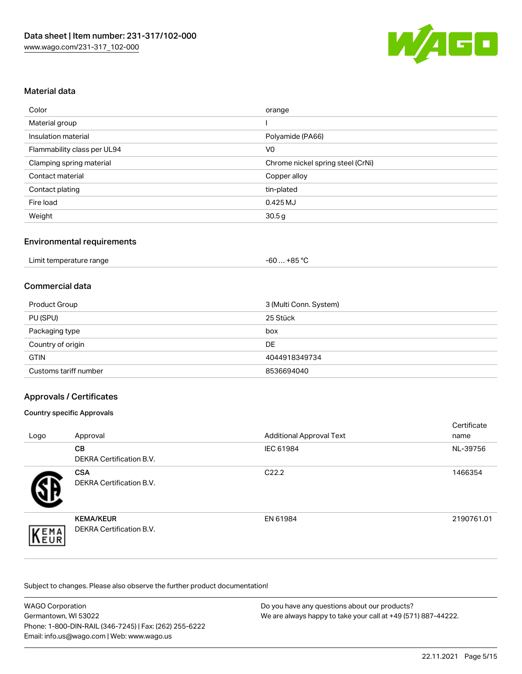

#### Material data

| Color                       | orange                            |
|-----------------------------|-----------------------------------|
| Material group              |                                   |
| Insulation material         | Polyamide (PA66)                  |
| Flammability class per UL94 | V <sub>0</sub>                    |
| Clamping spring material    | Chrome nickel spring steel (CrNi) |
| Contact material            | Copper alloy                      |
| Contact plating             | tin-plated                        |
| Fire load                   | $0.425$ MJ                        |
| Weight                      | 30.5g                             |

## Environmental requirements

| Limit temperature range<br>and the contract of the contract of the contract of the contract of the contract of the contract of the contract of the contract of the contract of the contract of the contract of the contract of the contract of the contra | +85 °C<br>-60 |  |
|-----------------------------------------------------------------------------------------------------------------------------------------------------------------------------------------------------------------------------------------------------------|---------------|--|
|-----------------------------------------------------------------------------------------------------------------------------------------------------------------------------------------------------------------------------------------------------------|---------------|--|

#### Commercial data

| Product Group         | 3 (Multi Conn. System) |  |
|-----------------------|------------------------|--|
| PU (SPU)              | 25 Stück               |  |
| Packaging type        | box                    |  |
| Country of origin     | DE                     |  |
| <b>GTIN</b>           | 4044918349734          |  |
| Customs tariff number | 8536694040             |  |

## Approvals / Certificates

#### Country specific Approvals

| Logo | Approval                                            | <b>Additional Approval Text</b> | Certificate<br>name |
|------|-----------------------------------------------------|---------------------------------|---------------------|
|      | <b>CB</b><br><b>DEKRA Certification B.V.</b>        | IEC 61984                       | NL-39756            |
|      | <b>CSA</b><br>DEKRA Certification B.V.              | C <sub>22.2</sub>               | 1466354             |
| EMA  | <b>KEMA/KEUR</b><br><b>DEKRA Certification B.V.</b> | EN 61984                        | 2190761.01          |

Subject to changes. Please also observe the further product documentation!

| <b>WAGO Corporation</b>                                | Do you have any questions about our products?                 |
|--------------------------------------------------------|---------------------------------------------------------------|
| Germantown, WI 53022                                   | We are always happy to take your call at +49 (571) 887-44222. |
| Phone: 1-800-DIN-RAIL (346-7245)   Fax: (262) 255-6222 |                                                               |
| Email: info.us@wago.com   Web: www.wago.us             |                                                               |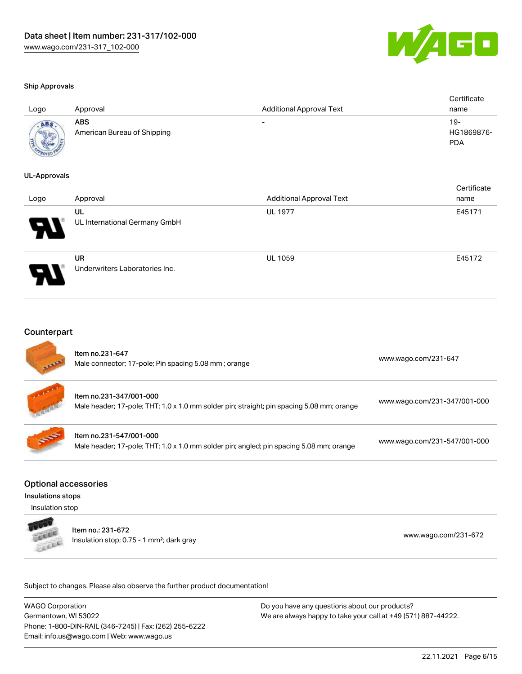

certificate in the contraction of the contraction of the contraction of the contraction of the contraction of <br>Contraction of the contraction of the contraction of the contraction of the contraction of the contraction of <br>

#### Ship Approvals

| Logo        | Approval                           | <b>Additional Approval Text</b> | Certificate<br>name             |
|-------------|------------------------------------|---------------------------------|---------------------------------|
| <b>ADAR</b> | ABS<br>American Bureau of Shipping | -                               | 19-<br>HG1869876-<br><b>PDA</b> |

#### UL-Approvals

| Logo | Approval                             | <b>Additional Approval Text</b> | Certificate<br>name |
|------|--------------------------------------|---------------------------------|---------------------|
| Р.   | UL<br>UL International Germany GmbH  | <b>UL 1977</b>                  | E45171              |
|      | UR<br>Underwriters Laboratories Inc. | <b>UL 1059</b>                  | E45172              |

#### **Counterpart**

| <b>ATAPA</b> | Item no.231-647<br>Male connector; 17-pole; Pin spacing 5.08 mm; orange                                              | www.wago.com/231-647         |
|--------------|----------------------------------------------------------------------------------------------------------------------|------------------------------|
|              | Item no.231-347/001-000<br>Male header; 17-pole; THT; 1.0 x 1.0 mm solder pin; straight; pin spacing 5.08 mm; orange | www.wago.com/231-347/001-000 |
| S            | Item no.231-547/001-000<br>Male header; 17-pole; THT; 1.0 x 1.0 mm solder pin; angled; pin spacing 5.08 mm; orange   | www.wago.com/231-547/001-000 |

#### Optional accessories

#### Insulations stops

Insulation stop



Item no.: 231-672 Insulation stop; 0.75 - 1 mm²; dark gray [www.wago.com/231-672](http://www.wago.com/231-672)

Subject to changes. Please also observe the further product documentation!

WAGO Corporation Germantown, WI 53022 Phone: 1-800-DIN-RAIL (346-7245) | Fax: (262) 255-6222 Email: info.us@wago.com | Web: www.wago.us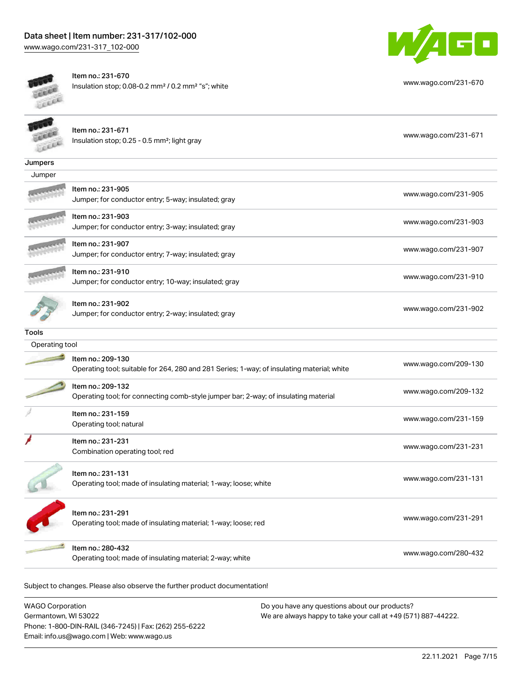



Item no.: 231-670 Insulation stop; 0.08-0.2 mm<sup>2</sup> / 0.2 mm<sup>2</sup> "s"; white [www.wago.com/231-670](http://www.wago.com/231-670)

|                | Item no.: 231-671<br>Insulation stop; 0.25 - 0.5 mm <sup>2</sup> ; light gray                                   | www.wago.com/231-671 |
|----------------|-----------------------------------------------------------------------------------------------------------------|----------------------|
| Jumpers        |                                                                                                                 |                      |
| Jumper         |                                                                                                                 |                      |
|                | Item no.: 231-905<br>Jumper; for conductor entry; 5-way; insulated; gray                                        | www.wago.com/231-905 |
|                | Item no.: 231-903<br>Jumper; for conductor entry; 3-way; insulated; gray                                        | www.wago.com/231-903 |
|                | Item no.: 231-907<br>Jumper; for conductor entry; 7-way; insulated; gray                                        | www.wago.com/231-907 |
|                | Item no.: 231-910<br>Jumper; for conductor entry; 10-way; insulated; gray                                       | www.wago.com/231-910 |
|                | Item no.: 231-902<br>Jumper; for conductor entry; 2-way; insulated; gray                                        | www.wago.com/231-902 |
| Tools          |                                                                                                                 |                      |
| Operating tool |                                                                                                                 |                      |
|                | Item no.: 209-130<br>Operating tool; suitable for 264, 280 and 281 Series; 1-way; of insulating material; white | www.wago.com/209-130 |
|                | Item no.: 209-132<br>Operating tool; for connecting comb-style jumper bar; 2-way; of insulating material        | www.wago.com/209-132 |
|                | Item no.: 231-159<br>Operating tool; natural                                                                    | www.wago.com/231-159 |
|                | Item no.: 231-231<br>Combination operating tool; red                                                            | www.wago.com/231-231 |
|                | Item no.: 231-131<br>Operating tool; made of insulating material; 1-way; loose; white                           | www.wago.com/231-131 |
|                | Item no.: 231-291<br>Operating tool; made of insulating material; 1-way; loose; red                             | www.wago.com/231-291 |
|                | Item no.: 280-432<br>Operating tool; made of insulating material; 2-way; white                                  | www.wago.com/280-432 |
|                |                                                                                                                 |                      |

Subject to changes. Please also observe the further product documentation!

| <b>WAGO Corporation</b>                                |
|--------------------------------------------------------|
| Germantown, WI 53022                                   |
| Phone: 1-800-DIN-RAIL (346-7245)   Fax: (262) 255-6222 |
| Email: info.us@wago.com   Web: www.wago.us             |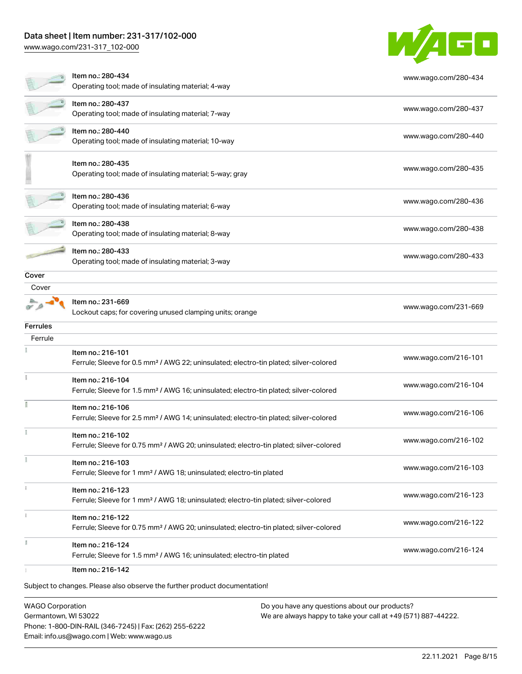## Data sheet | Item number: 231-317/102-000

[www.wago.com/231-317\\_102-000](http://www.wago.com/231-317_102-000)



|          | ltem no.: 280-434<br>Operating tool; made of insulating material; 4-way                                                 | www.wago.com/280-434 |
|----------|-------------------------------------------------------------------------------------------------------------------------|----------------------|
|          | Item no.: 280-437<br>Operating tool; made of insulating material; 7-way                                                 | www.wago.com/280-437 |
|          | Item no.: 280-440<br>Operating tool; made of insulating material; 10-way                                                | www.wago.com/280-440 |
|          | Item no.: 280-435<br>Operating tool; made of insulating material; 5-way; gray                                           | www.wago.com/280-435 |
|          | Item no.: 280-436<br>Operating tool; made of insulating material; 6-way                                                 | www.wago.com/280-436 |
|          | Item no.: 280-438<br>Operating tool; made of insulating material; 8-way                                                 | www.wago.com/280-438 |
|          | Item no.: 280-433<br>Operating tool; made of insulating material; 3-way                                                 | www.wago.com/280-433 |
| Cover    |                                                                                                                         |                      |
| Cover    |                                                                                                                         |                      |
|          | Item no.: 231-669<br>Lockout caps; for covering unused clamping units; orange                                           | www.wago.com/231-669 |
| Ferrules |                                                                                                                         |                      |
| Ferrule  |                                                                                                                         |                      |
|          | Item no.: 216-101<br>Ferrule; Sleeve for 0.5 mm <sup>2</sup> / AWG 22; uninsulated; electro-tin plated; silver-colored  | www.wago.com/216-101 |
|          | Item no.: 216-104<br>Ferrule; Sleeve for 1.5 mm <sup>2</sup> / AWG 16; uninsulated; electro-tin plated; silver-colored  | www.wago.com/216-104 |
|          | Item no.: 216-106<br>Ferrule; Sleeve for 2.5 mm <sup>2</sup> / AWG 14; uninsulated; electro-tin plated; silver-colored  | www.wago.com/216-106 |
|          | Item no.: 216-102<br>Ferrule; Sleeve for 0.75 mm <sup>2</sup> / AWG 20; uninsulated; electro-tin plated; silver-colored | www.wago.com/216-102 |
|          | Item no.: 216-103<br>Ferrule; Sleeve for 1 mm <sup>2</sup> / AWG 18; uninsulated; electro-tin plated                    | www.wago.com/216-103 |
|          | Item no.: 216-123<br>Ferrule; Sleeve for 1 mm <sup>2</sup> / AWG 18; uninsulated; electro-tin plated; silver-colored    | www.wago.com/216-123 |
|          | Item no.: 216-122<br>Ferrule; Sleeve for 0.75 mm <sup>2</sup> / AWG 20; uninsulated; electro-tin plated; silver-colored | www.wago.com/216-122 |
|          | Item no.: 216-124<br>Ferrule; Sleeve for 1.5 mm <sup>2</sup> / AWG 16; uninsulated; electro-tin plated                  | www.wago.com/216-124 |
|          | Item no.: 216-142                                                                                                       |                      |
|          | Subject to changes. Please also observe the further product documentation!                                              |                      |

WAGO Corporation Germantown, WI 53022 Phone: 1-800-DIN-RAIL (346-7245) | Fax: (262) 255-6222 Email: info.us@wago.com | Web: www.wago.us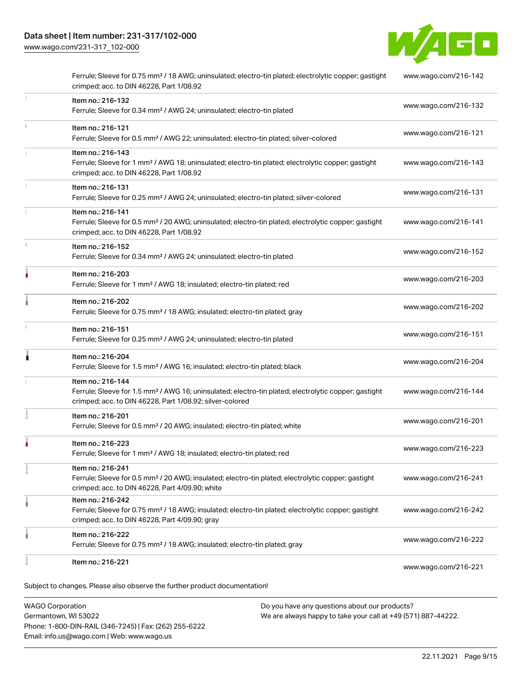[www.wago.com/231-317\\_102-000](http://www.wago.com/231-317_102-000)



|   | Ferrule; Sleeve for 0.75 mm <sup>2</sup> / 18 AWG; uninsulated; electro-tin plated; electrolytic copper; gastight<br>crimped; acc. to DIN 46228, Part 1/08.92                                     | www.wago.com/216-142 |
|---|---------------------------------------------------------------------------------------------------------------------------------------------------------------------------------------------------|----------------------|
|   | Item no.: 216-132<br>Ferrule; Sleeve for 0.34 mm <sup>2</sup> / AWG 24; uninsulated; electro-tin plated                                                                                           | www.wago.com/216-132 |
|   | Item no.: 216-121<br>Ferrule; Sleeve for 0.5 mm <sup>2</sup> / AWG 22; uninsulated; electro-tin plated; silver-colored                                                                            | www.wago.com/216-121 |
|   | Item no.: 216-143<br>Ferrule; Sleeve for 1 mm <sup>2</sup> / AWG 18; uninsulated; electro-tin plated; electrolytic copper; gastight<br>crimped; acc. to DIN 46228, Part 1/08.92                   | www.wago.com/216-143 |
|   | Item no.: 216-131<br>Ferrule; Sleeve for 0.25 mm <sup>2</sup> / AWG 24; uninsulated; electro-tin plated; silver-colored                                                                           | www.wago.com/216-131 |
|   | Item no.: 216-141<br>Ferrule; Sleeve for 0.5 mm <sup>2</sup> / 20 AWG; uninsulated; electro-tin plated; electrolytic copper; gastight<br>crimped; acc. to DIN 46228, Part 1/08.92                 | www.wago.com/216-141 |
|   | Item no.: 216-152<br>Ferrule; Sleeve for 0.34 mm <sup>2</sup> / AWG 24; uninsulated; electro-tin plated                                                                                           | www.wago.com/216-152 |
|   | Item no.: 216-203<br>Ferrule; Sleeve for 1 mm <sup>2</sup> / AWG 18; insulated; electro-tin plated; red                                                                                           | www.wago.com/216-203 |
|   | Item no.: 216-202<br>Ferrule; Sleeve for 0.75 mm <sup>2</sup> / 18 AWG; insulated; electro-tin plated; gray                                                                                       | www.wago.com/216-202 |
|   | Item no.: 216-151<br>Ferrule; Sleeve for 0.25 mm <sup>2</sup> / AWG 24; uninsulated; electro-tin plated                                                                                           | www.wago.com/216-151 |
| Å | Item no.: 216-204<br>Ferrule; Sleeve for 1.5 mm <sup>2</sup> / AWG 16; insulated; electro-tin plated; black                                                                                       | www.wago.com/216-204 |
|   | Item no.: 216-144<br>Ferrule; Sleeve for 1.5 mm <sup>2</sup> / AWG 16; uninsulated; electro-tin plated; electrolytic copper; gastight<br>crimped; acc. to DIN 46228, Part 1/08.92; silver-colored | www.wago.com/216-144 |
|   | Item no.: 216-201<br>Ferrule; Sleeve for 0.5 mm <sup>2</sup> / 20 AWG; insulated; electro-tin plated; white                                                                                       | www.wago.com/216-201 |
|   | Item no.: 216-223<br>Ferrule; Sleeve for 1 mm <sup>2</sup> / AWG 18; insulated; electro-tin plated; red                                                                                           | www.wago.com/216-223 |
|   | Item no.: 216-241<br>Ferrule; Sleeve for 0.5 mm <sup>2</sup> / 20 AWG; insulated; electro-tin plated; electrolytic copper; gastight<br>crimped; acc. to DIN 46228, Part 4/09.90; white            | www.wago.com/216-241 |
|   | Item no.: 216-242<br>Ferrule; Sleeve for 0.75 mm <sup>2</sup> / 18 AWG; insulated; electro-tin plated; electrolytic copper; gastight<br>crimped; acc. to DIN 46228, Part 4/09.90; gray            | www.wago.com/216-242 |
|   | Item no.: 216-222<br>Ferrule; Sleeve for 0.75 mm <sup>2</sup> / 18 AWG; insulated; electro-tin plated; gray                                                                                       | www.wago.com/216-222 |
|   | Item no.: 216-221                                                                                                                                                                                 | www.wago.com/216-221 |

WAGO Corporation Germantown, WI 53022 Phone: 1-800-DIN-RAIL (346-7245) | Fax: (262) 255-6222 Email: info.us@wago.com | Web: www.wago.us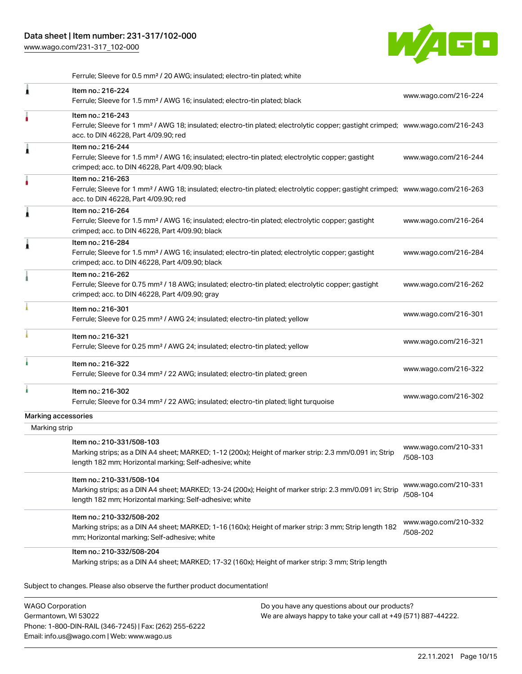Phone: 1-800-DIN-RAIL (346-7245) | Fax: (262) 255-6222

Email: info.us@wago.com | Web: www.wago.us

[www.wago.com/231-317\\_102-000](http://www.wago.com/231-317_102-000)



Ferrule; Sleeve for 0.5 mm² / 20 AWG; insulated; electro-tin plated; white

|                         | $\alpha$ is the contract of $\alpha$ . The $\alpha$ is the contract of the contract $\alpha$ is the contract of $\alpha$ in $\alpha$                                                                    |                                                                                                                |                                  |
|-------------------------|---------------------------------------------------------------------------------------------------------------------------------------------------------------------------------------------------------|----------------------------------------------------------------------------------------------------------------|----------------------------------|
|                         | Item no.: 216-224<br>Ferrule; Sleeve for 1.5 mm <sup>2</sup> / AWG 16; insulated; electro-tin plated; black                                                                                             |                                                                                                                | www.wago.com/216-224             |
|                         | Item no.: 216-243<br>Ferrule; Sleeve for 1 mm <sup>2</sup> / AWG 18; insulated; electro-tin plated; electrolytic copper; gastight crimped; www.wago.com/216-243<br>acc. to DIN 46228, Part 4/09.90; red |                                                                                                                |                                  |
|                         | Item no.: 216-244<br>Ferrule; Sleeve for 1.5 mm <sup>2</sup> / AWG 16; insulated; electro-tin plated; electrolytic copper; gastight<br>crimped; acc. to DIN 46228, Part 4/09.90; black                  |                                                                                                                | www.wago.com/216-244             |
|                         | Item no.: 216-263<br>Ferrule; Sleeve for 1 mm <sup>2</sup> / AWG 18; insulated; electro-tin plated; electrolytic copper; gastight crimped; www.wago.com/216-263<br>acc. to DIN 46228, Part 4/09.90; red |                                                                                                                |                                  |
|                         | Item no.: 216-264<br>Ferrule; Sleeve for 1.5 mm <sup>2</sup> / AWG 16; insulated; electro-tin plated; electrolytic copper; gastight<br>crimped; acc. to DIN 46228, Part 4/09.90; black                  |                                                                                                                | www.wago.com/216-264             |
|                         | Item no.: 216-284<br>Ferrule; Sleeve for 1.5 mm <sup>2</sup> / AWG 16; insulated; electro-tin plated; electrolytic copper; gastight<br>crimped; acc. to DIN 46228, Part 4/09.90; black                  |                                                                                                                | www.wago.com/216-284             |
|                         | Item no.: 216-262<br>Ferrule; Sleeve for 0.75 mm <sup>2</sup> / 18 AWG; insulated; electro-tin plated; electrolytic copper; gastight<br>crimped; acc. to DIN 46228, Part 4/09.90; gray                  |                                                                                                                | www.wago.com/216-262             |
|                         | Item no.: 216-301<br>Ferrule; Sleeve for 0.25 mm <sup>2</sup> / AWG 24; insulated; electro-tin plated; yellow                                                                                           |                                                                                                                | www.wago.com/216-301             |
|                         | Item no.: 216-321<br>Ferrule; Sleeve for 0.25 mm <sup>2</sup> / AWG 24; insulated; electro-tin plated; yellow                                                                                           |                                                                                                                | www.wago.com/216-321             |
|                         | Item no.: 216-322<br>Ferrule; Sleeve for 0.34 mm <sup>2</sup> / 22 AWG; insulated; electro-tin plated; green                                                                                            |                                                                                                                | www.wago.com/216-322             |
|                         | Item no.: 216-302<br>Ferrule; Sleeve for 0.34 mm <sup>2</sup> / 22 AWG; insulated; electro-tin plated; light turquoise                                                                                  |                                                                                                                | www.wago.com/216-302             |
| Marking accessories     |                                                                                                                                                                                                         |                                                                                                                |                                  |
| Marking strip           |                                                                                                                                                                                                         |                                                                                                                |                                  |
|                         | Item no.: 210-331/508-103<br>Marking strips; as a DIN A4 sheet; MARKED; 1-12 (200x); Height of marker strip: 2.3 mm/0.091 in; Strip<br>length 182 mm; Horizontal marking; Self-adhesive; white          |                                                                                                                | www.wago.com/210-331<br>/508-103 |
|                         | Item no.: 210-331/508-104<br>Marking strips; as a DIN A4 sheet; MARKED; 13-24 (200x); Height of marker strip: 2.3 mm/0.091 in; Strip<br>length 182 mm; Horizontal marking; Self-adhesive; white         |                                                                                                                | www.wago.com/210-331<br>/508-104 |
|                         | Item no.: 210-332/508-202<br>Marking strips; as a DIN A4 sheet; MARKED; 1-16 (160x); Height of marker strip: 3 mm; Strip length 182<br>mm; Horizontal marking; Self-adhesive; white                     |                                                                                                                | www.wago.com/210-332<br>/508-202 |
|                         | Item no.: 210-332/508-204<br>Marking strips; as a DIN A4 sheet; MARKED; 17-32 (160x); Height of marker strip: 3 mm; Strip length                                                                        |                                                                                                                |                                  |
|                         | Subject to changes. Please also observe the further product documentation!                                                                                                                              |                                                                                                                |                                  |
| <b>WAGO Corporation</b> | Germantown, WI 53022                                                                                                                                                                                    | Do you have any questions about our products?<br>We are always happy to take your call at +49 (571) 887-44222. |                                  |

22.11.2021 Page 10/15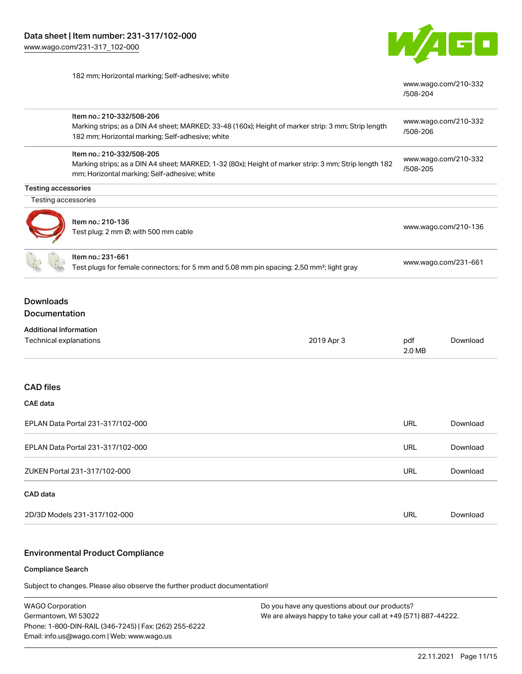



[www.wago.com/210-332](http://www.wago.com/210-332/508-204)

|                                   |                                                                                                                                                                                      |            | /508-204      |                      |  |
|-----------------------------------|--------------------------------------------------------------------------------------------------------------------------------------------------------------------------------------|------------|---------------|----------------------|--|
|                                   | Item no.: 210-332/508-206<br>Marking strips; as a DIN A4 sheet; MARKED; 33-48 (160x); Height of marker strip: 3 mm; Strip length<br>182 mm; Horizontal marking; Self-adhesive; white |            | /508-206      | www.wago.com/210-332 |  |
|                                   | Item no.: 210-332/508-205<br>Marking strips; as a DIN A4 sheet; MARKED; 1-32 (80x); Height of marker strip: 3 mm; Strip length 182<br>mm; Horizontal marking; Self-adhesive; white   |            | /508-205      | www.wago.com/210-332 |  |
| <b>Testing accessories</b>        |                                                                                                                                                                                      |            |               |                      |  |
| Testing accessories               |                                                                                                                                                                                      |            |               |                      |  |
|                                   | Item no.: 210-136<br>Test plug; 2 mm Ø; with 500 mm cable                                                                                                                            |            |               | www.wago.com/210-136 |  |
|                                   | Item no.: 231-661<br>Test plugs for female connectors; for 5 mm and 5.08 mm pin spacing; 2,50 mm <sup>2</sup> ; light gray                                                           |            |               | www.wago.com/231-661 |  |
| <b>Downloads</b><br>Documentation |                                                                                                                                                                                      |            |               |                      |  |
| <b>Additional Information</b>     |                                                                                                                                                                                      |            |               |                      |  |
| Technical explanations            |                                                                                                                                                                                      | 2019 Apr 3 | pdf<br>2.0 MB | Download             |  |
| <b>CAD files</b>                  |                                                                                                                                                                                      |            |               |                      |  |
| <b>CAE</b> data                   |                                                                                                                                                                                      |            |               |                      |  |
|                                   | EPLAN Data Portal 231-317/102-000                                                                                                                                                    |            | <b>URL</b>    | Download             |  |
|                                   | EPLAN Data Portal 231-317/102-000                                                                                                                                                    |            | <b>URL</b>    | Download             |  |
|                                   | ZUKEN Portal 231-317/102-000                                                                                                                                                         |            | <b>URL</b>    | Download             |  |
| CAD data                          |                                                                                                                                                                                      |            |               |                      |  |
|                                   | 2D/3D Models 231-317/102-000                                                                                                                                                         |            | <b>URL</b>    | Download             |  |
|                                   |                                                                                                                                                                                      |            |               |                      |  |

## Environmental Product Compliance

#### Compliance Search

Subject to changes. Please also observe the further product documentation!

WAGO Corporation Germantown, WI 53022 Phone: 1-800-DIN-RAIL (346-7245) | Fax: (262) 255-6222 Email: info.us@wago.com | Web: www.wago.us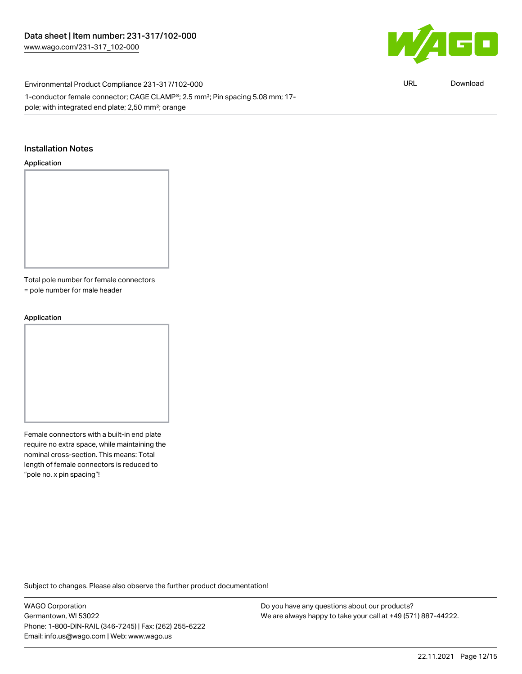

Environmental Product Compliance 231-317/102-000 1-conductor female connector; CAGE CLAMP®; 2.5 mm²; Pin spacing 5.08 mm; 17 pole; with integrated end plate; 2,50 mm²; orange

#### Installation Notes

#### Application

Total pole number for female connectors

= pole number for male header

#### Application



Female connectors with a built-in end plate require no extra space, while maintaining the nominal cross-section. This means: Total length of female connectors is reduced to "pole no. x pin spacing"!

Subject to changes. Please also observe the further product documentation!

WAGO Corporation Germantown, WI 53022 Phone: 1-800-DIN-RAIL (346-7245) | Fax: (262) 255-6222 Email: info.us@wago.com | Web: www.wago.us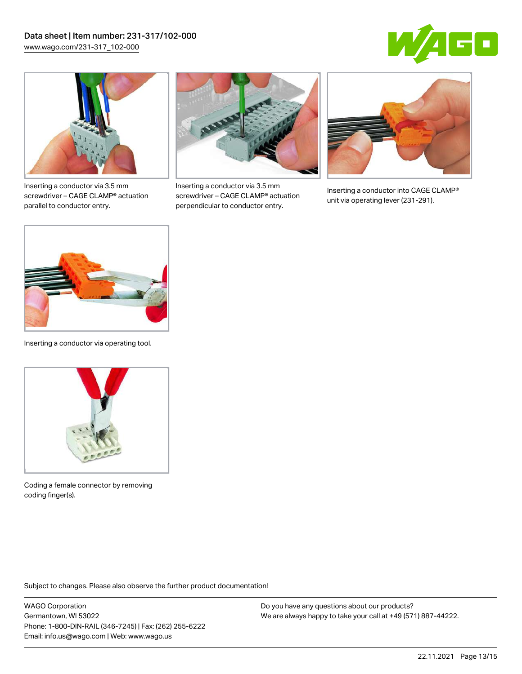



Inserting a conductor via 3.5 mm screwdriver – CAGE CLAMP® actuation parallel to conductor entry.



Inserting a conductor via 3.5 mm screwdriver – CAGE CLAMP® actuation perpendicular to conductor entry.



Inserting a conductor into CAGE CLAMP® unit via operating lever (231-291).



Inserting a conductor via operating tool.



Coding a female connector by removing coding finger(s).

Subject to changes. Please also observe the further product documentation!

WAGO Corporation Germantown, WI 53022 Phone: 1-800-DIN-RAIL (346-7245) | Fax: (262) 255-6222 Email: info.us@wago.com | Web: www.wago.us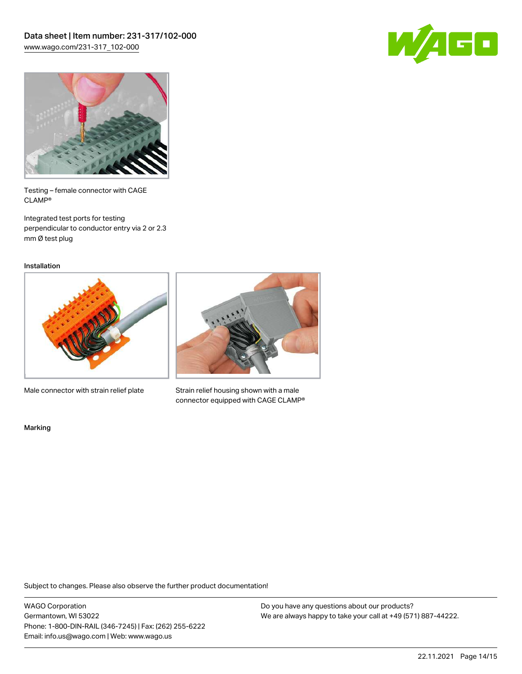



Testing – female connector with CAGE CLAMP®

Integrated test ports for testing perpendicular to conductor entry via 2 or 2.3 mm Ø test plug

Installation



Male connector with strain relief plate



Strain relief housing shown with a male connector equipped with CAGE CLAMP®

Marking

Subject to changes. Please also observe the further product documentation!

WAGO Corporation Germantown, WI 53022 Phone: 1-800-DIN-RAIL (346-7245) | Fax: (262) 255-6222 Email: info.us@wago.com | Web: www.wago.us